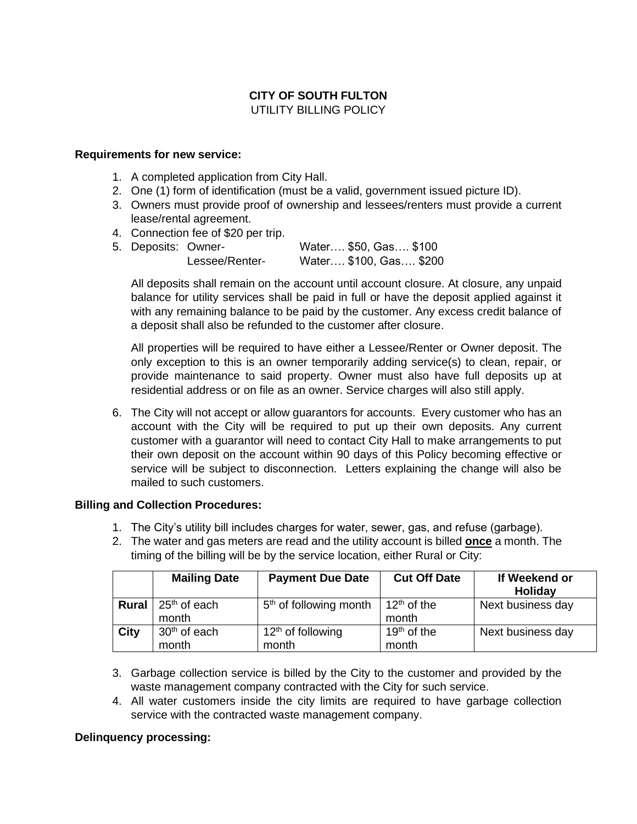# **CITY OF SOUTH FULTON** UTILITY BILLING POLICY

### **Requirements for new service:**

- 1. A completed application from City Hall.
- 2. One (1) form of identification (must be a valid, government issued picture ID).
- 3. Owners must provide proof of ownership and lessees/renters must provide a current lease/rental agreement.
- 4. Connection fee of \$20 per trip.
- 5. Deposits: Owner- Water…. \$50, Gas…. \$100 Lessee/Renter- Water…. \$100, Gas…. \$200

All deposits shall remain on the account until account closure. At closure, any unpaid balance for utility services shall be paid in full or have the deposit applied against it with any remaining balance to be paid by the customer. Any excess credit balance of a deposit shall also be refunded to the customer after closure.

All properties will be required to have either a Lessee/Renter or Owner deposit. The only exception to this is an owner temporarily adding service(s) to clean, repair, or provide maintenance to said property. Owner must also have full deposits up at residential address or on file as an owner. Service charges will also still apply.

6. The City will not accept or allow guarantors for accounts. Every customer who has an account with the City will be required to put up their own deposits. Any current customer with a guarantor will need to contact City Hall to make arrangements to put their own deposit on the account within 90 days of this Policy becoming effective or service will be subject to disconnection. Letters explaining the change will also be mailed to such customers.

## **Billing and Collection Procedures:**

- 1. The City's utility bill includes charges for water, sewer, gas, and refuse (garbage).
- 2. The water and gas meters are read and the utility account is billed **once** a month. The timing of the billing will be by the service location, either Rural or City:

| <b>Mailing Date</b>      | <b>Payment Due Date</b>            | <b>Cut Off Date</b> | If Weekend or<br>Holiday |
|--------------------------|------------------------------------|---------------------|--------------------------|
| $25th$ of each<br>month  | 5 <sup>th</sup> of following month | $12th$ of the       | Next business day        |
| 30 <sup>th</sup> of each | $12th$ of following                | $19th$ of the       | Next business day        |
|                          | month                              | month               | month<br>month           |

- 3. Garbage collection service is billed by the City to the customer and provided by the waste management company contracted with the City for such service.
- 4. All water customers inside the city limits are required to have garbage collection service with the contracted waste management company.

### **Delinquency processing:**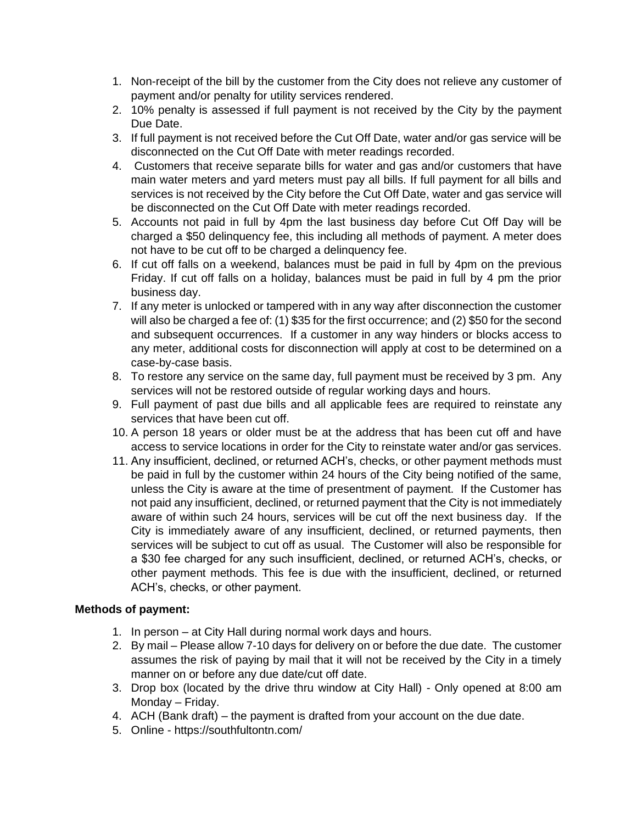- 1. Non-receipt of the bill by the customer from the City does not relieve any customer of payment and/or penalty for utility services rendered.
- 2. 10% penalty is assessed if full payment is not received by the City by the payment Due Date.
- 3. If full payment is not received before the Cut Off Date, water and/or gas service will be disconnected on the Cut Off Date with meter readings recorded.
- 4. Customers that receive separate bills for water and gas and/or customers that have main water meters and yard meters must pay all bills. If full payment for all bills and services is not received by the City before the Cut Off Date, water and gas service will be disconnected on the Cut Off Date with meter readings recorded.
- 5. Accounts not paid in full by 4pm the last business day before Cut Off Day will be charged a \$50 delinquency fee, this including all methods of payment. A meter does not have to be cut off to be charged a delinquency fee.
- 6. If cut off falls on a weekend, balances must be paid in full by 4pm on the previous Friday. If cut off falls on a holiday, balances must be paid in full by 4 pm the prior business day.
- 7. If any meter is unlocked or tampered with in any way after disconnection the customer will also be charged a fee of: (1) \$35 for the first occurrence; and (2) \$50 for the second and subsequent occurrences. If a customer in any way hinders or blocks access to any meter, additional costs for disconnection will apply at cost to be determined on a case-by-case basis.
- 8. To restore any service on the same day, full payment must be received by 3 pm. Any services will not be restored outside of regular working days and hours.
- 9. Full payment of past due bills and all applicable fees are required to reinstate any services that have been cut off.
- 10. A person 18 years or older must be at the address that has been cut off and have access to service locations in order for the City to reinstate water and/or gas services.
- 11. Any insufficient, declined, or returned ACH's, checks, or other payment methods must be paid in full by the customer within 24 hours of the City being notified of the same, unless the City is aware at the time of presentment of payment. If the Customer has not paid any insufficient, declined, or returned payment that the City is not immediately aware of within such 24 hours, services will be cut off the next business day. If the City is immediately aware of any insufficient, declined, or returned payments, then services will be subject to cut off as usual. The Customer will also be responsible for a \$30 fee charged for any such insufficient, declined, or returned ACH's, checks, or other payment methods. This fee is due with the insufficient, declined, or returned ACH's, checks, or other payment.

## **Methods of payment:**

- 1. In person at City Hall during normal work days and hours.
- 2. By mail Please allow 7-10 days for delivery on or before the due date. The customer assumes the risk of paying by mail that it will not be received by the City in a timely manner on or before any due date/cut off date.
- 3. Drop box (located by the drive thru window at City Hall) Only opened at 8:00 am Monday – Friday.
- 4. ACH (Bank draft) the payment is drafted from your account on the due date.
- 5. Online https://southfultontn.com/